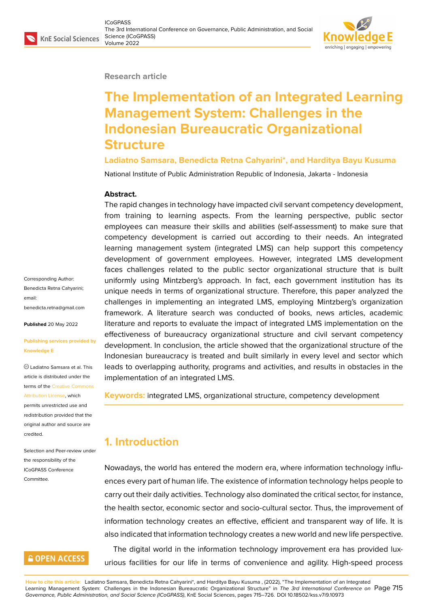#### **Research article**

# **The Implementation of an Integrated Learning Management System: Challenges in the Indonesian Bureaucratic Organizational Structure**

#### **Ladiatno Samsara, Benedicta Retna Cahyarini\*, and Harditya Bayu Kusuma**

National Institute of Public Administration Republic of Indonesia, Jakarta - Indonesia

#### **Abstract.**

The rapid changes in technology have impacted civil servant competency development, from training to learning aspects. From the learning perspective, public sector employees can measure their skills and abilities (self-assessment) to make sure that competency development is carried out according to their needs. An integrated learning management system (integrated LMS) can help support this competency development of government employees. However, integrated LMS development faces challenges related to the public sector organizational structure that is built uniformly using Mintzberg's approach. In fact, each government institution has its unique needs in terms of organizational structure. Therefore, this paper analyzed the challenges in implementing an integrated LMS, employing Mintzberg's organization framework. A literature search was conducted of books, news articles, academic literature and reports to evaluate the impact of integrated LMS implementation on the effectiveness of bureaucracy organizational structure and civil servant competency development. In conclusion, the article showed that the organizational structure of the Indonesian bureaucracy is treated and built similarly in every level and sector which leads to overlapping authority, programs and activities, and results in obstacles in the implementation of an integrated LMS.

**Keywords:** integrated LMS, organizational structure, competency development

## **1. Introduction**

Nowadays, the world has entered the modern era, where information technology influences every part of human life. The existence of information technology helps people to carry out their daily activities. Technology also dominated the critical sector, for instance, the health sector, economic sector and socio-cultural sector. Thus, the improvement of information technology creates an effective, efficient and transparent way of life. It is also indicated that information technology creates a new world and new life perspective. The digital world in the information technology improvement era has provided lux-

urious facilities for our life in terms of convenience and agility. High-speed process

**How to cite this article**: Ladiatno Samsara, Benedicta Retna Cahyarini\*, and Harditya Bayu Kusuma , (2022), "The Implementation of an Integrated Learning Management System: Challenges in the Indonesian Bureaucratic Organizational Structure" in *The 3rd International Conference on* Page 715 *Governance, Public Administration, and Social Science (ICoGPASS)*, KnE Social Sciences, pages 715–726. DOI 10.18502/kss.v7i9.10973

Corresponding Author: Benedicta Retna Cahyarini; email: benedicta.retna@gmail.com

**Published** 20 May 2022

#### **[Publishing services provide](mailto:benedicta.retna@gmail.com)d by Knowledge E**

Ladiatno Samsara et al. This article is distributed under the terms of the Creative Commons Attribution License, which

permits unrestricted use and redistribution provided that the original auth[or and source are](https://creativecommons.org/licenses/by/4.0/) [credited.](https://creativecommons.org/licenses/by/4.0/)

Selection and Peer-review under the responsibility of the ICoGPASS Conference Committee.

## **GOPEN ACCESS**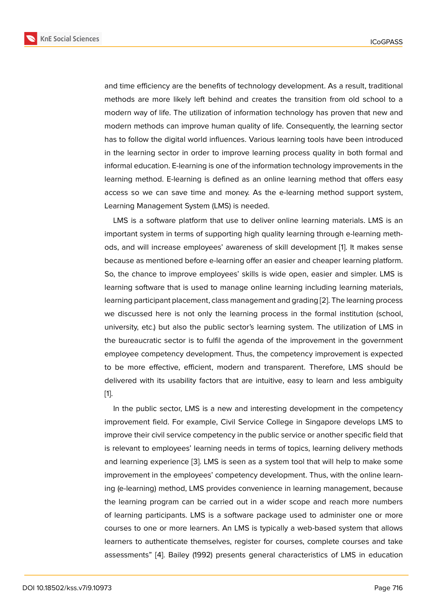and time efficiency are the benefits of technology development. As a result, traditional methods are more likely left behind and creates the transition from old school to a modern way of life. The utilization of information technology has proven that new and modern methods can improve human quality of life. Consequently, the learning sector has to follow the digital world influences. Various learning tools have been introduced in the learning sector in order to improve learning process quality in both formal and informal education. E-learning is one of the information technology improvements in the learning method. E-learning is defined as an online learning method that offers easy access so we can save time and money. As the e-learning method support system, Learning Management System (LMS) is needed.

LMS is a software platform that use to deliver online learning materials. LMS is an important system in terms of supporting high quality learning through e-learning methods, and will increase employees' awareness of skill development [1]. It makes sense because as mentioned before e-learning offer an easier and cheaper learning platform. So, the chance to improve employees' skills is wide open, easier and simpler. LMS is learning software that is used to manage online learning including [le](#page-10-0)arning materials, learning participant placement, class management and grading [2]. The learning process we discussed here is not only the learning process in the formal institution (school, university, etc.) but also the public sector's learning system. The utilization of LMS in the bureaucratic sector is to fulfil the agenda of the improve[me](#page-10-1)nt in the government employee competency development. Thus, the competency improvement is expected to be more effective, efficient, modern and transparent. Therefore, LMS should be delivered with its usability factors that are intuitive, easy to learn and less ambiguity [1].

In the public sector, LMS is a new and interesting development in the competency improvement field. For example, Civil Service College in Singapore develops LMS to i[m](#page-10-0)prove their civil service competency in the public service or another specific field that is relevant to employees' learning needs in terms of topics, learning delivery methods and learning experience [3]. LMS is seen as a system tool that will help to make some improvement in the employees' competency development. Thus, with the online learning (e-learning) method, LMS provides convenience in learning management, because the learning program ca[n b](#page-11-0)e carried out in a wider scope and reach more numbers of learning participants. LMS is a software package used to administer one or more courses to one or more learners. An LMS is typically a web-based system that allows learners to authenticate themselves, register for courses, complete courses and take assessments" [4]. Bailey (1992) presents general characteristics of LMS in education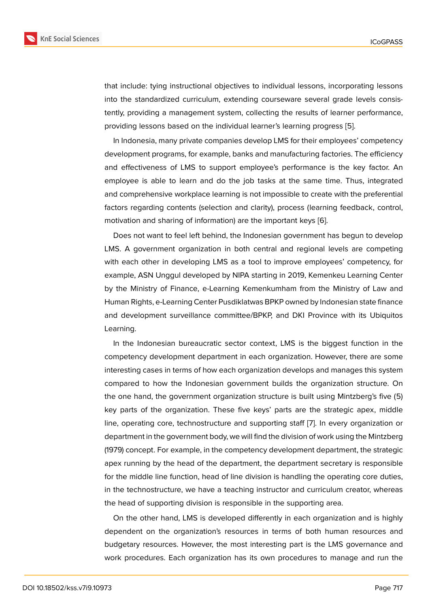that include: tying instructional objectives to individual lessons, incorporating lessons into the standardized curriculum, extending courseware several grade levels consistently, providing a management system, collecting the results of learner performance, providing lessons based on the individual learner's learning progress [5].

In Indonesia, many private companies develop LMS for their employees' competency development programs, for example, banks and manufacturing factories. The efficiency and effectiveness of LMS to support employee's performance is th[e](#page-11-1) key factor. An employee is able to learn and do the job tasks at the same time. Thus, integrated and comprehensive workplace learning is not impossible to create with the preferential factors regarding contents (selection and clarity), process (learning feedback, control, motivation and sharing of information) are the important keys [6].

Does not want to feel left behind, the Indonesian government has begun to develop LMS. A government organization in both central and regional levels are competing with each other in developing LMS as a tool to improve em[plo](#page-11-2)yees' competency, for example, ASN Unggul developed by NIPA starting in 2019, Kemenkeu Learning Center by the Ministry of Finance, e-Learning Kemenkumham from the Ministry of Law and Human Rights, e-Learning Center Pusdiklatwas BPKP owned by Indonesian state finance and development surveillance committee/BPKP, and DKI Province with its Ubiquitos Learning.

In the Indonesian bureaucratic sector context, LMS is the biggest function in the competency development department in each organization. However, there are some interesting cases in terms of how each organization develops and manages this system compared to how the Indonesian government builds the organization structure. On the one hand, the government organization structure is built using Mintzberg's five (5) key parts of the organization. These five keys' parts are the strategic apex, middle line, operating core, technostructure and supporting staff [7]. In every organization or department in the government body, we will find the division of work using the Mintzberg (1979) concept. For example, in the competency development department, the strategic apex running by the head of the department, the departm[en](#page-11-3)t secretary is responsible for the middle line function, head of line division is handling the operating core duties, in the technostructure, we have a teaching instructor and curriculum creator, whereas the head of supporting division is responsible in the supporting area.

On the other hand, LMS is developed differently in each organization and is highly dependent on the organization's resources in terms of both human resources and budgetary resources. However, the most interesting part is the LMS governance and work procedures. Each organization has its own procedures to manage and run the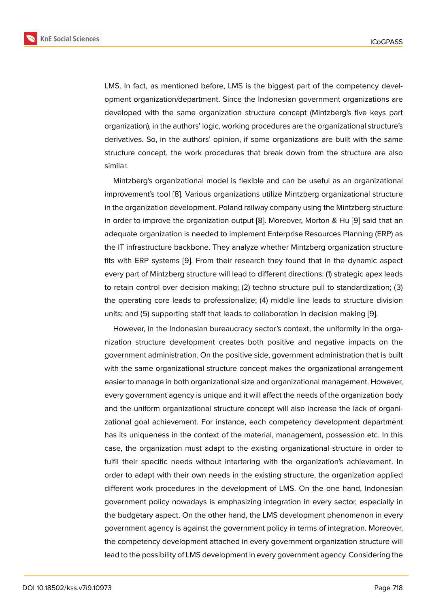LMS. In fact, as mentioned before, LMS is the biggest part of the competency development organization/department. Since the Indonesian government organizations are developed with the same organization structure concept (Mintzberg's five keys part organization), in the authors' logic, working procedures are the organizational structure's derivatives. So, in the authors' opinion, if some organizations are built with the same structure concept, the work procedures that break down from the structure are also similar.

Mintzberg's organizational model is flexible and can be useful as an organizational improvement's tool [8]. Various organizations utilize Mintzberg organizational structure in the organization development. Poland railway company using the Mintzberg structure in order to improve the organization output [8]. Moreover, Morton & Hu [9] said that an adequate organizati[on](#page-11-4) is needed to implement Enterprise Resources Planning (ERP) as the IT infrastructure backbone. They analyze whether Mintzberg organization structure fits with ERP systems [9]. From their resear[ch](#page-11-4) they found that in the d[yn](#page-11-5)amic aspect every part of Mintzberg structure will lead to different directions: (1) strategic apex leads to retain control over decision making; (2) techno structure pull to standardization; (3) the operating core lea[ds](#page-11-5) to professionalize; (4) middle line leads to structure division units; and (5) supporting staff that leads to collaboration in decision making [9].

However, in the Indonesian bureaucracy sector's context, the uniformity in the organization structure development creates both positive and negative impacts on the government administration. On the positive side, government administration t[ha](#page-11-5)t is built with the same organizational structure concept makes the organizational arrangement easier to manage in both organizational size and organizational management. However, every government agency is unique and it will affect the needs of the organization body and the uniform organizational structure concept will also increase the lack of organizational goal achievement. For instance, each competency development department has its uniqueness in the context of the material, management, possession etc. In this case, the organization must adapt to the existing organizational structure in order to fulfil their specific needs without interfering with the organization's achievement. In order to adapt with their own needs in the existing structure, the organization applied different work procedures in the development of LMS. On the one hand, Indonesian government policy nowadays is emphasizing integration in every sector, especially in the budgetary aspect. On the other hand, the LMS development phenomenon in every government agency is against the government policy in terms of integration. Moreover, the competency development attached in every government organization structure will lead to the possibility of LMS development in every government agency. Considering the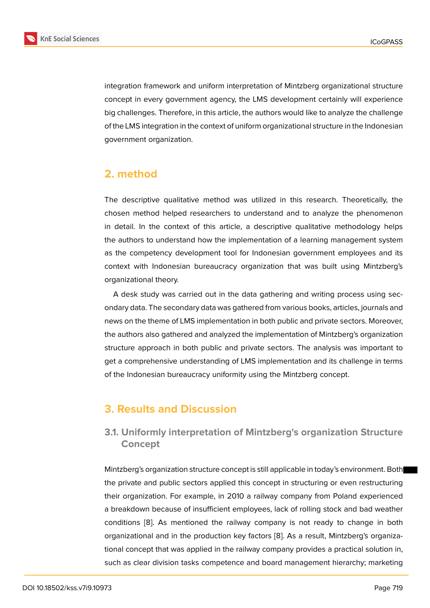integration framework and uniform interpretation of Mintzberg organizational structure concept in every government agency, the LMS development certainly will experience big challenges. Therefore, in this article, the authors would like to analyze the challenge of the LMS integration in the context of uniform organizational structure in the Indonesian government organization.

## **2. method**

The descriptive qualitative method was utilized in this research. Theoretically, the chosen method helped researchers to understand and to analyze the phenomenon in detail. In the context of this article, a descriptive qualitative methodology helps the authors to understand how the implementation of a learning management system as the competency development tool for Indonesian government employees and its context with Indonesian bureaucracy organization that was built using Mintzberg's organizational theory.

A desk study was carried out in the data gathering and writing process using secondary data. The secondary data was gathered from various books, articles, journals and news on the theme of LMS implementation in both public and private sectors. Moreover, the authors also gathered and analyzed the implementation of Mintzberg's organization structure approach in both public and private sectors. The analysis was important to get a comprehensive understanding of LMS implementation and its challenge in terms of the Indonesian bureaucracy uniformity using the Mintzberg concept.

## **3. Results and Discussion**

## **3.1. Uniformly interpretation of Mintzberg's organization Structure Concept**

Mintzberg's organization structure concept is still applicable in today's environment. Both the private and public sectors applied this concept in structuring or even restructuring their organization. For example, in 2010 a railway company from Poland experienced a breakdown because of insufficient employees, lack of rolling stock and bad weather conditions [8]. As mentioned the railway company is not ready to change in both organizational and in the production key factors [8]. As a result, Mintzberg's organizational concept that was applied in the railway company provides a practical solution in, such as cle[ar](#page-11-4) division tasks competence and board management hierarchy; marketing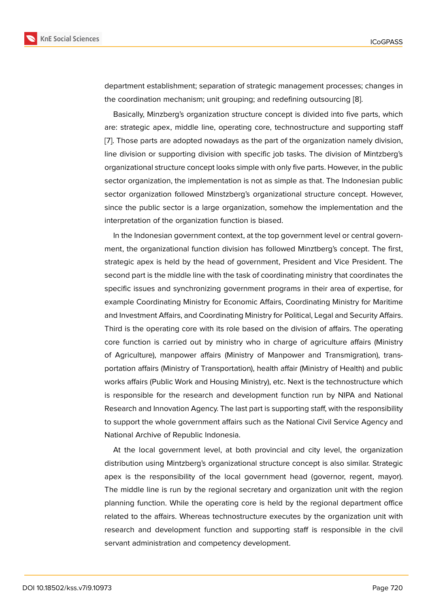department establishment; separation of strategic management processes; changes in the coordination mechanism; unit grouping; and redefining outsourcing [8].

Basically, Minzberg's organization structure concept is divided into five parts, which are: strategic apex, middle line, operating core, technostructure and supporting staff [7]. Those parts are adopted nowadays as the part of the organization n[am](#page-11-4)ely division, line division or supporting division with specific job tasks. The division of Mintzberg's organizational structure concept looks simple with only five parts. However, in the public [se](#page-11-3)ctor organization, the implementation is not as simple as that. The Indonesian public sector organization followed Minstzberg's organizational structure concept. However, since the public sector is a large organization, somehow the implementation and the interpretation of the organization function is biased.

In the Indonesian government context, at the top government level or central government, the organizational function division has followed Minztberg's concept. The first, strategic apex is held by the head of government, President and Vice President. The second part is the middle line with the task of coordinating ministry that coordinates the specific issues and synchronizing government programs in their area of expertise, for example Coordinating Ministry for Economic Affairs, Coordinating Ministry for Maritime and Investment Affairs, and Coordinating Ministry for Political, Legal and Security Affairs. Third is the operating core with its role based on the division of affairs. The operating core function is carried out by ministry who in charge of agriculture affairs (Ministry of Agriculture), manpower affairs (Ministry of Manpower and Transmigration), transportation affairs (Ministry of Transportation), health affair (Ministry of Health) and public works affairs (Public Work and Housing Ministry), etc. Next is the technostructure which is responsible for the research and development function run by NIPA and National Research and Innovation Agency. The last part is supporting staff, with the responsibility to support the whole government affairs such as the National Civil Service Agency and National Archive of Republic Indonesia.

At the local government level, at both provincial and city level, the organization distribution using Mintzberg's organizational structure concept is also similar. Strategic apex is the responsibility of the local government head (governor, regent, mayor). The middle line is run by the regional secretary and organization unit with the region planning function. While the operating core is held by the regional department office related to the affairs. Whereas technostructure executes by the organization unit with research and development function and supporting staff is responsible in the civil servant administration and competency development.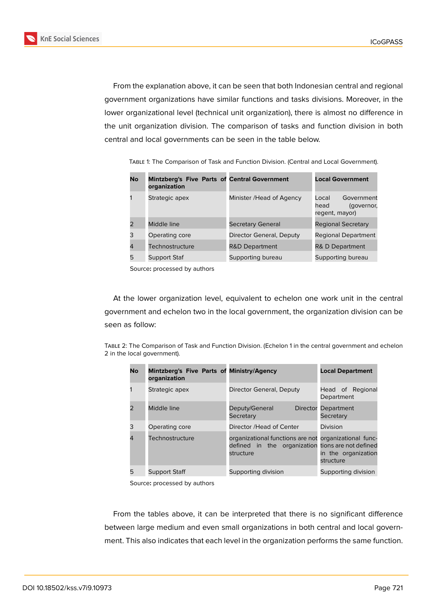

From the explanation above, it can be seen that both Indonesian central and regional government organizations have similar functions and tasks divisions. Moreover, in the lower organizational level (technical unit organization), there is almost no difference in the unit organization division. The comparison of tasks and function division in both central and local governments can be seen in the table below.

| No | Mintzberg's Five Parts of Central Government<br>organization |                           | <b>Local Government</b>                                     |
|----|--------------------------------------------------------------|---------------------------|-------------------------------------------------------------|
|    | Strategic apex                                               | Minister / Head of Agency | Government<br>Local<br>head<br>(governor,<br>regent, mayor) |
|    | Middle line                                                  | <b>Secretary General</b>  | <b>Regional Secretary</b>                                   |
| 3  | Operating core                                               | Director General, Deputy  | Regional Department                                         |
| 4  | Technostructure                                              | <b>R&amp;D Department</b> | <b>R&amp; D Department</b>                                  |
| 5  | Support Staf                                                 | Supporting bureau         | Supporting bureau                                           |

Table 1: The Comparison of Task and Function Division. (Central and Local Government).

Source**:** processed by authors

At the lower organization level, equivalent to echelon one work unit in the central government and echelon two in the local government, the organization division can be seen as follow:

Table 2: The Comparison of Task and Function Division. (Echelon 1 in the central government and echelon 2 in the local government).

| No            | Mintzberg's Five Parts of Ministry/Agency<br>organization |                                                                                                                         | <b>Local Department</b>          |
|---------------|-----------------------------------------------------------|-------------------------------------------------------------------------------------------------------------------------|----------------------------------|
|               | Strategic apex                                            | Director General, Deputy                                                                                                | Head of Regional<br>Department   |
| $\mathcal{P}$ | Middle line                                               | Deputy/General<br>Secretary                                                                                             | Director Department<br>Secretary |
| 3             | Operating core                                            | Director / Head of Center                                                                                               | Division                         |
| 4             | Technostructure                                           | organizational functions are not organizational func-<br>defined in the organization tions are not defined<br>structure | in the organization<br>structure |
| 5             | Support Staff                                             | Supporting division                                                                                                     | Supporting division              |

Source**:** processed by authors

From the tables above, it can be interpreted that there is no significant difference between large medium and even small organizations in both central and local government. This also indicates that each level in the organization performs the same function.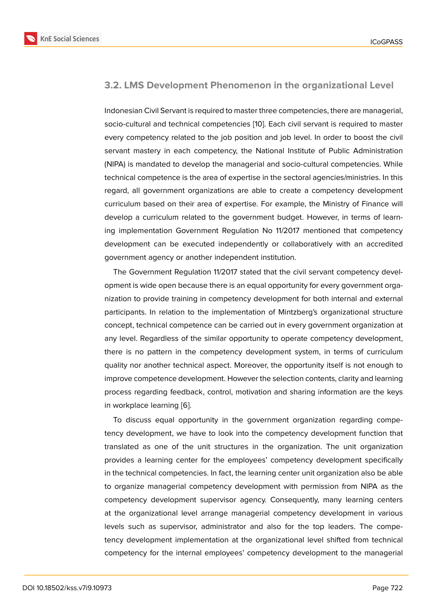### **3.2. LMS Development Phenomenon in the organizational Level**

Indonesian Civil Servant is required to master three competencies, there are managerial, socio-cultural and technical competencies [10]. Each civil servant is required to master every competency related to the job position and job level. In order to boost the civil servant mastery in each competency, the National Institute of Public Administration (NIPA) is mandated to develop the manage[rial](#page-11-6) and socio-cultural competencies. While technical competence is the area of expertise in the sectoral agencies/ministries. In this regard, all government organizations are able to create a competency development curriculum based on their area of expertise. For example, the Ministry of Finance will develop a curriculum related to the government budget. However, in terms of learning implementation Government Regulation No 11/2017 mentioned that competency development can be executed independently or collaboratively with an accredited government agency or another independent institution.

The Government Regulation 11/2017 stated that the civil servant competency development is wide open because there is an equal opportunity for every government organization to provide training in competency development for both internal and external participants. In relation to the implementation of Mintzberg's organizational structure concept, technical competence can be carried out in every government organization at any level. Regardless of the similar opportunity to operate competency development, there is no pattern in the competency development system, in terms of curriculum quality nor another technical aspect. Moreover, the opportunity itself is not enough to improve competence development. However the selection contents, clarity and learning process regarding feedback, control, motivation and sharing information are the keys in workplace learning [6].

To discuss equal opportunity in the government organization regarding competency development, we have to look into the competency development function that translated as one of [th](#page-11-2)e unit structures in the organization. The unit organization provides a learning center for the employees' competency development specifically in the technical competencies. In fact, the learning center unit organization also be able to organize managerial competency development with permission from NIPA as the competency development supervisor agency. Consequently, many learning centers at the organizational level arrange managerial competency development in various levels such as supervisor, administrator and also for the top leaders. The competency development implementation at the organizational level shifted from technical competency for the internal employees' competency development to the managerial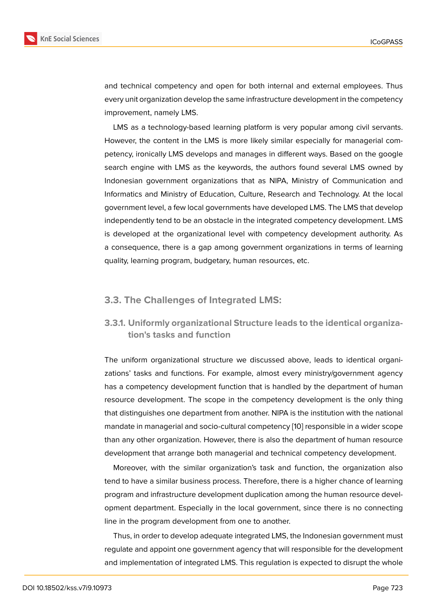and technical competency and open for both internal and external employees. Thus every unit organization develop the same infrastructure development in the competency improvement, namely LMS.

LMS as a technology-based learning platform is very popular among civil servants. However, the content in the LMS is more likely similar especially for managerial competency, ironically LMS develops and manages in different ways. Based on the google search engine with LMS as the keywords, the authors found several LMS owned by Indonesian government organizations that as NIPA, Ministry of Communication and Informatics and Ministry of Education, Culture, Research and Technology. At the local government level, a few local governments have developed LMS. The LMS that develop independently tend to be an obstacle in the integrated competency development. LMS is developed at the organizational level with competency development authority. As a consequence, there is a gap among government organizations in terms of learning quality, learning program, budgetary, human resources, etc.

### **3.3. The Challenges of Integrated LMS:**

### **3.3.1. Uniformly organizational Structure leads to the identical organization's tasks and function**

The uniform organizational structure we discussed above, leads to identical organizations' tasks and functions. For example, almost every ministry/government agency has a competency development function that is handled by the department of human resource development. The scope in the competency development is the only thing that distinguishes one department from another. NIPA is the institution with the national mandate in managerial and socio-cultural competency [10] responsible in a wider scope than any other organization. However, there is also the department of human resource development that arrange both managerial and technical competency development.

Moreover, with the similar organization's task and [fun](#page-11-6)ction, the organization also tend to have a similar business process. Therefore, there is a higher chance of learning program and infrastructure development duplication among the human resource development department. Especially in the local government, since there is no connecting line in the program development from one to another.

Thus, in order to develop adequate integrated LMS, the Indonesian government must regulate and appoint one government agency that will responsible for the development and implementation of integrated LMS. This regulation is expected to disrupt the whole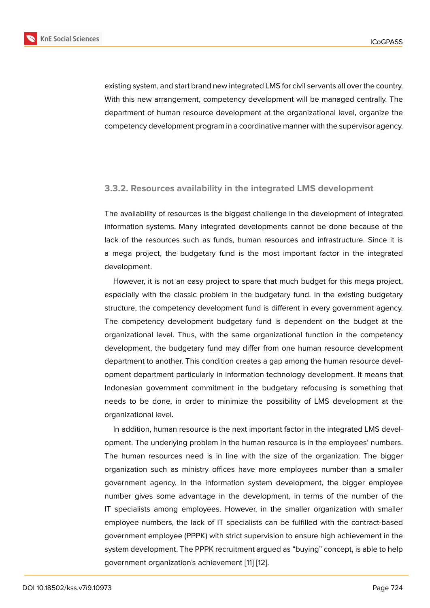existing system, and start brand new integrated LMS for civil servants all over the country. With this new arrangement, competency development will be managed centrally. The department of human resource development at the organizational level, organize the competency development program in a coordinative manner with the supervisor agency.

### **3.3.2. Resources availability in the integrated LMS development**

The availability of resources is the biggest challenge in the development of integrated information systems. Many integrated developments cannot be done because of the lack of the resources such as funds, human resources and infrastructure. Since it is a mega project, the budgetary fund is the most important factor in the integrated development.

However, it is not an easy project to spare that much budget for this mega project, especially with the classic problem in the budgetary fund. In the existing budgetary structure, the competency development fund is different in every government agency. The competency development budgetary fund is dependent on the budget at the organizational level. Thus, with the same organizational function in the competency development, the budgetary fund may differ from one human resource development department to another. This condition creates a gap among the human resource development department particularly in information technology development. It means that Indonesian government commitment in the budgetary refocusing is something that needs to be done, in order to minimize the possibility of LMS development at the organizational level.

In addition, human resource is the next important factor in the integrated LMS development. The underlying problem in the human resource is in the employees' numbers. The human resources need is in line with the size of the organization. The bigger organization such as ministry offices have more employees number than a smaller government agency. In the information system development, the bigger employee number gives some advantage in the development, in terms of the number of the IT specialists among employees. However, in the smaller organization with smaller employee numbers, the lack of IT specialists can be fulfilled with the contract-based government employee (PPPK) with strict supervision to ensure high achievement in the system development. The PPPK recruitment argued as "buying" concept, is able to help government organization's achievement [11] [12].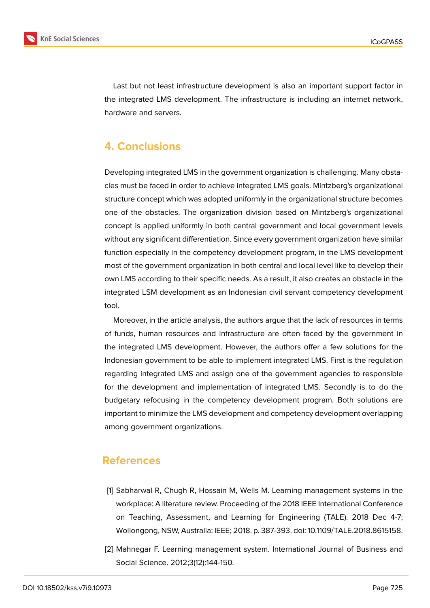

Last but not least infrastructure development is also an important support factor in the integrated LMS development. The infrastructure is including an internet network, hardware and servers.

## **4. Conclusions**

Developing integrated LMS in the government organization is challenging. Many obstacles must be faced in order to achieve integrated LMS goals. Mintzberg's organizational structure concept which was adopted uniformly in the organizational structure becomes one of the obstacles. The organization division based on Mintzberg's organizational concept is applied uniformly in both central government and local government levels without any significant differentiation. Since every government organization have similar function especially in the competency development program, in the LMS development most of the government organization in both central and local level like to develop their own LMS according to their specific needs. As a result, it also creates an obstacle in the integrated LSM development as an Indonesian civil servant competency development tool.

Moreover, in the article analysis, the authors argue that the lack of resources in terms of funds, human resources and infrastructure are often faced by the government in the integrated LMS development. However, the authors offer a few solutions for the Indonesian government to be able to implement integrated LMS. First is the regulation regarding integrated LMS and assign one of the government agencies to responsible for the development and implementation of integrated LMS. Secondly is to do the budgetary refocusing in the competency development program. Both solutions are important to minimize the LMS development and competency development overlapping among government organizations.

### **References**

- <span id="page-10-0"></span>[1] Sabharwal R, Chugh R, Hossain M, Wells M. Learning management systems in the workplace: A literature review. Proceeding of the 2018 IEEE International Conference on Teaching, Assessment, and Learning for Engineering (TALE). 2018 Dec 4-7; Wollongong, NSW, Australia: IEEE; 2018. p. 387-393. doi: 10.1109/TALE.2018.8615158.
- <span id="page-10-1"></span>[2] Mahnegar F. Learning management system. International Journal of Business and Social Science. 2012;3(12):144-150.